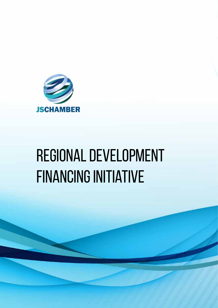

# regional development financing initiative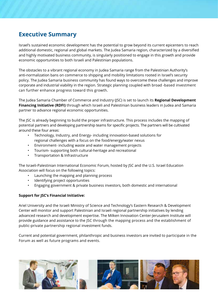## **Executive Summary**

Israel's sustained economic development has the potential to grow beyond its current epicenters to reach additional domestic, regional and global markets. The Judea Samaria region, characterized by a diversified and highly motivated business community, is singularly positioned to engage in this growth and provide economic opportunities to both Israeli and Palestinian populations.

The obstacles to a vibrant regional economy in Judea Samaria range from the Palestinian Authority's anti-normalization bans on commerce to shipping and mobility limitations rooted in Israel's security policy. The Judea Samaria business community has found ways to overcome these challenges and improve corporate and industrial viability in the region. Strategic planning coupled with broad -based investment can further enhance progress toward this growth.

The Judea Samaria Chamber of Commerce and Industry (JSC) is set to launch its **Regional Development Financing Initiative (RDFI)** through which Israeli and Palestinian business leaders in Judea and Samaria partner to advance regional economic opportunities.

The JSC is already beginning to build the proper infrastructure. This process includes the mapping of potential partners and developing partnership teams for specific projects. The partners will be cultivated around these four areas:

- Technology, Industry, and Energy- including innovation-based solutions for regional challenges with a focus on the food/energy/water nexus
- Environment- including waste and water management projects
- Tourism- supporting both cultural-heritage and recreational
- Transportation & Infrastructure

The Israeli-Palestinian International Economic Forum, hosted by JSC and the U.S. Israel Education Association will focus on the following topics:

- Launching the mapping and planning process
- Identifying project opportunities
- Engaging government & private business investors, both domestic and international

## **Support for JSC's Financial Initiative:**

Ariel University and the Israeli Ministry of Science and Technology's Eastern Research & Development Center will monitor and support Palestinian and Israeli regional partnership initiatives by lending advanced research and development expertise. The Milken Innovation Center-Jerusalem Institute will provide guidance and assistance to the JSC through the mapping process and the establishment of public-private partnership regional investment funds.

Current and potential government, philanthropic and business investors are invited to participate in the Forum as well as future programs and events.

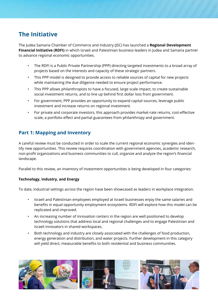# **The Initiative**

The Judea Samaria Chamber of Commerce and Industry (JSC) has launched a **Regional Development Financial Initiative (RDFI)** in which Israeli and Palestinian business leaders in Judea and Samaria partner to advance regional economic opportunities.

- The RDFI is a Public Private Partnership (PPP) directing targeted investments to a broad array of projects based on the interests and capacity of these strategic partners.
- This PPP model is designed to provide access to reliable sources of capital for new projects while maintaining the due diligence needed to ensure project performance.
- This PPP allows philanthropists to have a focused, large scale impact, to create sustainable social investment returns, and to line up behind first dollar loss from government.
- For government, PPP provides an opportunity to expand capital sources, leverage public investment and increase returns on regional investment.
- For private and corporate investors, this approach provides market-rate returns, cost-effective scale, a portfolio effect and partial guarantees from philanthropy and government.

## **Part 1: Mapping and Inventory**

A careful review must be conducted in order to scale the current regional economic synergies and identify new opportunities. This review requires coordination with government agencies, academic research, non-profit organizations and business communities to cull, organize and analyze the region's financial landscape.

Parallel to this review, an inventory of investment opportunities is being developed in four categories:

## **Technology, Industry, and Energy**

To date, industrial settings across the region have been showcased as leaders in workplace integration.

- Israeli and Palestinian employees employed at Israeli businesses enjoy the same salaries and benefits in equal opportunity employment ecosystems. RDFI will explore how this model can be replicated and improved.
- An increasing number of innovation centers in the region are well positioned to develop technology solutions that address local and regional challenges and to engage Palestinian and Israeli innovators in shared workspaces.
- Both technology and industry are closely associated with the challenges of food production, energy generation and distribution, and water projects. Further development in this category will yield direct, measurable benefits to both residential and business communities.

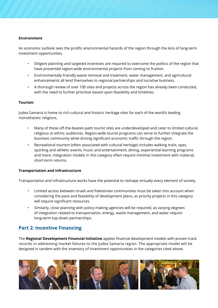## **Environment**

An economic outlook sees the prolific environmental hazards of the region through the lens of long-term investment opportunities.

- Diligent planning and targeted incentives are required to overcome the politics of the region that have prevented region-wide environmental projects from coming to fruition.
- Environmentally friendly waste removal and treatment, water management, and agricultural enhancements all lend themselves to regional partnerships and lucrative business.
- A thorough review of over 100 sites and projects across the region has already been conducted, with the need to further prioritize based upon feasibility and timelines.

## **Tourism**

Judea Samaria is home to rich cultural and historic heritage sites for each of the world's leading monotheistic religions.

- Many of these off-the-beaten-path tourist sites are underdeveloped and cater to limited cultural, religious or ethnic audiences. Region-wide tourist programs can serve to further integrate the business community while driving significant economic traffic through the region.
- Recreational tourism (often associated with cultural heritage) includes walking trails, spas, sporting and athletic events, music and entertainment, dining, experiential learning programs and more. Integration models in this category often require minimal investment with material, short-term returns.

## **Transportation and Infrastructure**

Transportation and infrastructure works have the potential to reshape virtually every element of society.

- Limited access between Israeli and Palestinian communities must be taken into account when considering the pace and feasibility of development plans, as priority projects in this category will require significant resources.
- Similarly, close planning with policy-making agencies will be required, as varying degrees of integration related to transportation, energy, waste management, and water require long-term top-down partnerships.

## **Part 2: Incentive Financing**

The **Regional Development Financial Initiative** applies financial development models with proven track records in addressing market failures to the Judea Samaria region. The appropriate model will be designed in tandem with the inventory of investment opportunities in the categories cited above.

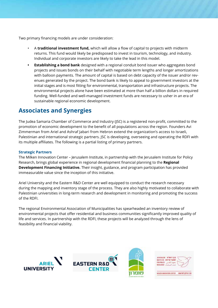Two primary financing models are under consideration:

- A **traditional investment fund,** which will allow a flow of capital to projects with midterm returns. This fund would likely be predisposed to invest in tourism, technology, and industry. Individual and corporate investors are likely to take the lead in this model.
- **• Establishing a bond bank** designed with a regional conduit bond issuer who aggregates bond projects and issues bonds on their behalf with negotiable term lengths and longer amortizations with balloon payments. The amount of capital is based on debt capacity of the issuer and/or revenues generated by the project. The bond bank is likely to appeal to government investors at the initial stages and is most fitting for environmental, transportation and infrastructure projects. The environmental projects alone have been estimated at more than half a billion dollars in required funding. Well-funded and well-managed investment funds are necessary to usher in an era of sustainable regional economic development.

## **Associates and Synergies**

The Judea Samaria Chamber of Commerce and Industry (JSC) is a registered non-profit, committed to the promotion of economic development to the benefit of all populations across the region. Founders Avi Zimmerman from Ariel and Ashraf Jabari from Hebron extend the organization's access to Israeli, Palestinian and international strategic partners. JSC is developing, overseeing and operating the RDFI with its multiple affiliates. The following is a partial listing of primary partners.

## **Strategic Partners**

The Milken Innovation Center – Jerusalem Institute, in partnership with the Jerusalem Institute for Policy Research, brings global experience in regional development financial planning to the **Regional Development Financing Initiative.** Their insight, guidance, and program participation has provided immeasurable value since the inception of this initiative.

Ariel University and the Eastern R&D Center are well equipped to conduct the research necessary during the mapping and inventory stage of the process. They are also highly motivated to collaborate with Palestinian universities in long-term research and development in monitoring and promoting the success of the RDFI.

The regional Environmental Association of Municipalities has spearheaded an inventory review of environmental projects that offer residential and business communities significantly improved quality of life and services. In partnership with the RDFI, these projects will be analyzed through the lens of feasibility and financial viability.







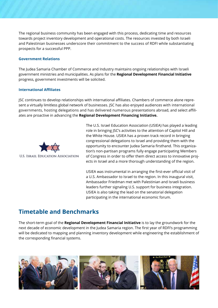The regional business community has been engaged with this process, dedicating time and resources towards project inventory development and operational costs. The resources invested by both Israeli and Palestinian businesses underscore their commitment to the success of RDFI while substantiating prospects for a successful PPP.

#### **Government Relations**

The Judea Samaria Chamber of Commerce and Industry maintains ongoing relationships with Israeli government ministries and municipalities. As plans for the **Regional Development Financial Initiative**  progress, government investments will be solicited.

#### **International Affiliates**

JSC continues to develop relationships with international affiliates. Chambers of commerce alone represent a virtually limitless global network of businesses. JSC has also enjoyed audiences with international governments, hosting delegations and has delivered numerous presentations abroad, and select affiliates are proactive in advancing the **Regional Development Financing Initiative.**



The U.S. Israel Education Association (USIEA) has played a leading role in bringing JSC's activities to the attention of Capitol Hill and the White House. USIEA has a proven track record in bringing congressional delegations to Israel and providing them with the opportunity to encounter Judea Samaria firsthand. This organization's non-partisan programs fully engage participating Members of Congress in order to offer them direct access to innovative projects in Israel and a more thorough understanding of the region.

USIEA was instrumental in arranging the first-ever official visit of a U.S. Ambassador to Israel to the region. In this inaugural visit, Ambassador Friedman met with Palestinian and Israeli business leaders further signaling U.S. support for business integration. USIEA is also taking the lead on the senatorial delegation participating in the international economic forum.

## **Timetable and Benchmarks**

The short-term goal of the **Regional Development Financial Initiative** is to lay the groundwork for the next decade of economic development in the Judea Samaria region. The first year of RDFI's programming will be dedicated to mapping and planning inventory development while engineering the establishment of the corresponding financial systems.

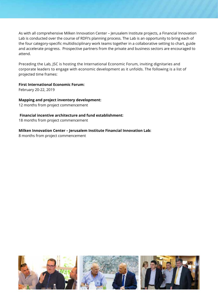As with all comprehensive Milken Innovation Center – Jerusalem Institute projects, a Financial Innovation Lab is conducted over the course of RDFI's planning process. The Lab is an opportunity to bring each of the four category-specific multidisciplinary work teams together in a collaborative setting to chart, guide and accelerate progress. Prospective partners from the private and business sectors are encouraged to attend.

Preceding the Lab, JSC is hosting the International Economic Forum, inviting dignitaries and corporate leaders to engage with economic development as it unfolds. The following is a list of projected time frames:

## **First International Economic Forum:**

February 20-22, 2019

## **Mapping and project inventory development:**

12 months from project commencement

## **Financial incentive architecture and fund establishment:**

18 months from project commencement

## **Milken Innovation Center – Jerusalem Institute Financial Innovation Lab:**

8 months from project commencement